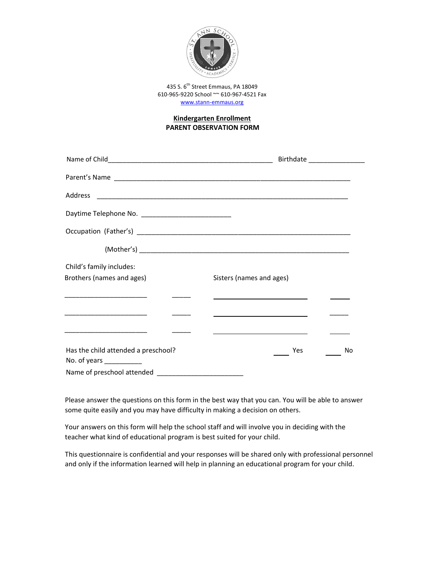

435 S. 6<sup>th</sup> Street Emmaus, PA 18049 610-965-9220 School ~~ 610-967-4521 Fax [www.stann-emmaus.org](http://www.stann-emmaus.org/)

## **Kindergarten Enrollment PARENT OBSERVATION FORM**

|                                                                                 | Birthdate __________________ |
|---------------------------------------------------------------------------------|------------------------------|
|                                                                                 |                              |
|                                                                                 |                              |
|                                                                                 |                              |
|                                                                                 |                              |
|                                                                                 |                              |
| Child's family includes:                                                        |                              |
| Brothers (names and ages)                                                       | Sisters (names and ages)     |
|                                                                                 |                              |
| the contract of the contract of the contract of the contract of the contract of |                              |
|                                                                                 |                              |
| Has the child attended a preschool?                                             | Yes<br>No                    |
| No. of years ____________                                                       |                              |
| Name of preschool attended                                                      |                              |

Please answer the questions on this form in the best way that you can. You will be able to answer some quite easily and you may have difficulty in making a decision on others.

Your answers on this form will help the school staff and will involve you in deciding with the teacher what kind of educational program is best suited for your child.

This questionnaire is confidential and your responses will be shared only with professional personnel and only if the information learned will help in planning an educational program for your child.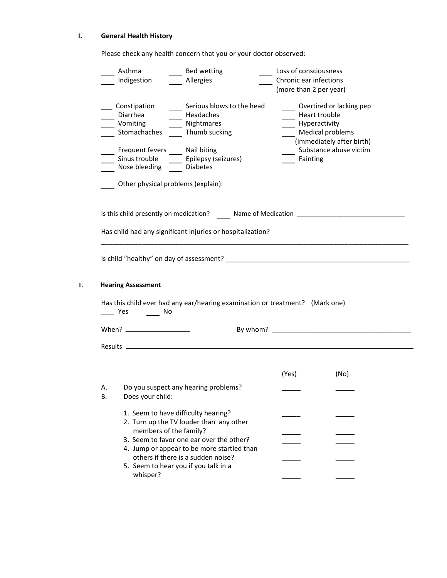## **I. General Health History**

Please check any health concern that you or your doctor observed:

|                    | Asthma<br>Indigestion                                                        | Bed wetting<br>Allergies                                                               | Loss of consciousness<br>Chronic ear infections<br>(more than 2 per year) |                                                                           |
|--------------------|------------------------------------------------------------------------------|----------------------------------------------------------------------------------------|---------------------------------------------------------------------------|---------------------------------------------------------------------------|
|                    | __ Constipation<br>Diarrhea<br>Vomiting<br>Stomachaches                      | Serious blows to the head<br>Headaches<br>Nightmares<br>Thumb sucking                  | Heart trouble<br>__ Hyperactivity                                         | Overtired or lacking pep<br>Medical problems<br>(immediately after birth) |
|                    | Frequent fevers _____ Nail biting<br>Sinus trouble<br>Nose bleeding Diabetes | Epilepsy (seizures)                                                                    | Fainting                                                                  | Substance abuse victim                                                    |
|                    | Other physical problems (explain):                                           |                                                                                        |                                                                           |                                                                           |
|                    |                                                                              | Is this child presently on medication? Name of Medication ______________________       |                                                                           |                                                                           |
|                    |                                                                              | Has child had any significant injuries or hospitalization?                             |                                                                           |                                                                           |
|                    |                                                                              |                                                                                        |                                                                           |                                                                           |
| <b>Example Yes</b> | <b>Hearing Assessment</b><br><u>na mga No</u>                                | Has this child ever had any ear/hearing examination or treatment? (Mark one)           |                                                                           |                                                                           |
|                    |                                                                              |                                                                                        |                                                                           | By whom?                                                                  |
| Results            |                                                                              |                                                                                        |                                                                           |                                                                           |
|                    |                                                                              |                                                                                        | (Yes)                                                                     | (No)                                                                      |
| А.<br><b>B.</b>    | Does your child:                                                             | Do you suspect any hearing problems?                                                   |                                                                           |                                                                           |
|                    | 1. Seem to have difficulty hearing?                                          | 2. Turn up the TV louder than any other                                                |                                                                           |                                                                           |
|                    | members of the family?                                                       | 3. Seem to favor one ear over the other?<br>4. Jump or appear to be more startled than |                                                                           |                                                                           |
|                    | 5. Seem to hear you if you talk in a<br>whisper?                             | others if there is a sudden noise?                                                     |                                                                           |                                                                           |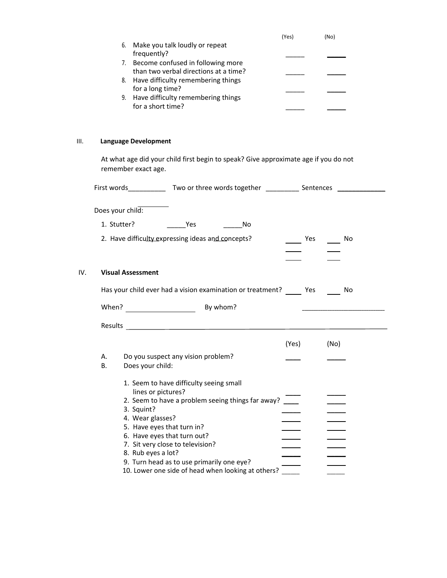|    |                                       | (Yes) | (No) |
|----|---------------------------------------|-------|------|
| 6. | Make you talk loudly or repeat        |       |      |
|    | frequently?                           |       |      |
|    | 7. Become confused in following more  |       |      |
|    | than two verbal directions at a time? |       |      |
|    | 8. Have difficulty remembering things |       |      |
|    | for a long time?                      |       |      |
| 9. | Have difficulty remembering things    |       |      |
|    | for a short time?                     |       |      |

## III. **Language Development**

IV.

At what age did your child first begin to speak? Give approximate age if you do not remember exact age.

|                 |                                | First words _____________ Two or three words together _____________ Sentences _______________                                                                                                                       |  |       |                     |     |    |  |
|-----------------|--------------------------------|---------------------------------------------------------------------------------------------------------------------------------------------------------------------------------------------------------------------|--|-------|---------------------|-----|----|--|
|                 | Does your child:               |                                                                                                                                                                                                                     |  |       |                     |     |    |  |
|                 |                                |                                                                                                                                                                                                                     |  |       |                     |     |    |  |
|                 |                                | 2. Have difficulty expressing ideas and concepts?                                                                                                                                                                   |  |       | <b>Paragona</b> Yes |     | No |  |
|                 | <b>Visual Assessment</b>       |                                                                                                                                                                                                                     |  |       |                     |     |    |  |
|                 |                                | Has your child ever had a vision examination or treatment? Yes                                                                                                                                                      |  |       |                     |     | No |  |
|                 |                                |                                                                                                                                                                                                                     |  |       |                     |     |    |  |
|                 |                                |                                                                                                                                                                                                                     |  |       |                     |     |    |  |
|                 |                                |                                                                                                                                                                                                                     |  | (Yes) |                     | (No |    |  |
| А.<br><b>B.</b> | Does your child:               | Do you suspect any vision problem?                                                                                                                                                                                  |  |       |                     |     |    |  |
|                 | 3. Squint?<br>4. Wear glasses? | 1. Seem to have difficulty seeing small<br>lines or pictures?<br>2. Seem to have a problem seeing things far away?<br>5. Have eyes that turn in?<br>6. Have eyes that turn out?<br>7. Sit very close to television? |  |       |                     |     |    |  |
|                 | 8. Rub eyes a lot?             | 9. Turn head as to use primarily one eye?<br>10. Lower one side of head when looking at others?                                                                                                                     |  |       |                     |     |    |  |